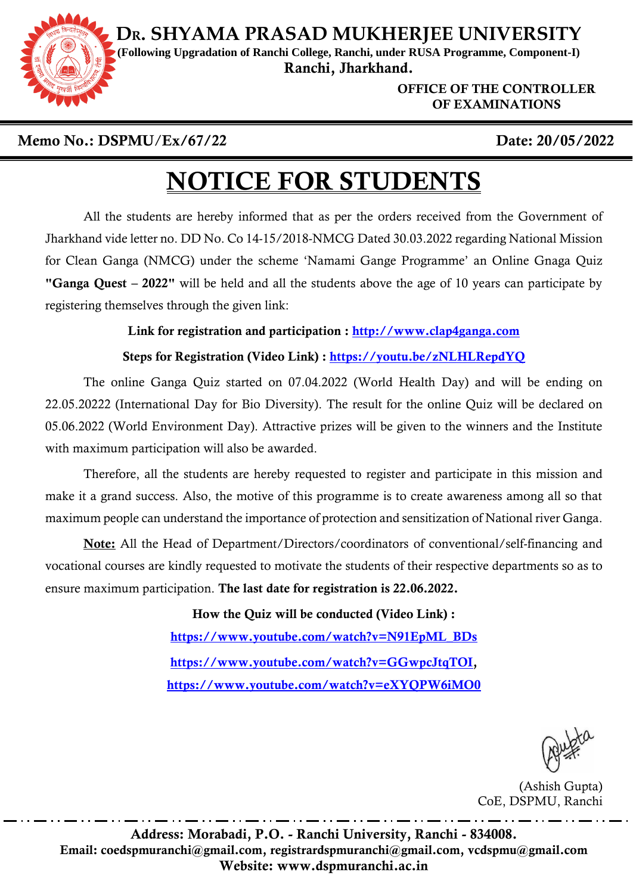**DR. SHYAMA PRASAD MUKHERJEE UNIVERSITY**



**(Following Upgradation of Ranchi College, Ranchi, under RUSA Programme, Component-I)** Ranchi, Jharkhand.

> OFFICE OF THE CONTROLLER OF EXAMINATIONS

### Memo No.: DSPMU/Ex/67/22 Date: 20/05/2022

## NOTICE FOR STUDENTS

All the students are hereby informed that as per the orders received from the Government of Jharkhand vide letter no. DD No. Co 14-15/2018-NMCG Dated 30.03.2022 regarding National Mission for Clean Ganga (NMCG) under the scheme 'Namami Gange Programme' an Online Gnaga Quiz "Ganga Quest – 2022" will be held and all the students above the age of 10 years can participate by registering themselves through the given link:

#### Link for registration and participation : [http://www.clap4ganga.com](http://www.clap4ganga.com/)

#### Steps for Registration (Video Link) :<https://youtu.be/zNLHLRepdYQ>

The online Ganga Quiz started on 07.04.2022 (World Health Day) and will be ending on 22.05.20222 (International Day for Bio Diversity). The result for the online Quiz will be declared on 05.06.2022 (World Environment Day). Attractive prizes will be given to the winners and the Institute with maximum participation will also be awarded.

Therefore, all the students are hereby requested to register and participate in this mission and make it a grand success. Also, the motive of this programme is to create awareness among all so that maximum people can understand the importance of protection and sensitization of National river Ganga.

Note: All the Head of Department/Directors/coordinators of conventional/self-financing and vocational courses are kindly requested to motivate the students of their respective departments so as to ensure maximum participation. The last date for registration is 22.06.2022.

> How the Quiz will be conducted (Video Link) : [https://www.youtube.com/watch?v=N91EpML\\_BDs](https://www.youtube.com/watch?v=N91EpML_BDs) [https://www.youtube.com/watch?v=GGwpcJtqTOI,](https://www.youtube.com/watch?v=GGwpcJtqTOI) <https://www.youtube.com/watch?v=eXYQPW6iMO0>

(Ashish Gupta) CoE, DSPMU, Ranchi

Address: Morabadi, P.O. - Ranchi University, Ranchi - 834008. Email: coedspmuranchi@gmail.com, registrardspmuranchi@gmail.com, vcdspmu@gmail.com Website: www.dspmuranchi.ac.in